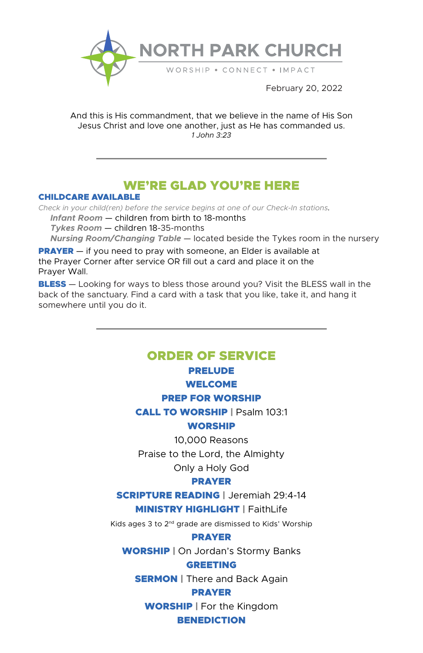

And this is His commandment, that we believe in the name of His Son Jesus Christ and love one another, just as He has commanded us. *1 John 3:23*

# WE'RE GLAD YOU'RE HERE

#### CHILDCARE AVAILABLE

*Check in your child(ren) before the service begins at one of our Check-In stations. Infant Room* — children from birth to 18-months  *Tykes Room* — children 18-35-months  *Nursing Room/Changing Table* — located beside the Tykes room in the nursery

**PRAYER** — if you need to pray with someone, an Elder is available at the Prayer Corner after service OR fill out a card and place it on the Prayer Wall.

**BLESS** — Looking for ways to bless those around you? Visit the BLESS wall in the back of the sanctuary. Find a card with a task that you like, take it, and hang it somewhere until you do it.

## ORDER OF SERVICE

## PRELUDE

#### WELCOME

#### PREP FOR WORSHIP

CALL TO WORSHIP | Psalm 103:1

## **WORSHIP**

10,000 Reasons

Praise to the Lord, the Almighty

Only a Holy God

## PRAYER

SCRIPTURE READING | Jeremiah 29:4-14

**MINISTRY HIGHLIGHT | FaithLife** 

Kids ages 3 to 2nd grade are dismissed to Kids' Worship

#### PRAYER

WORSHIP | On Jordan's Stormy Banks

#### GREETING

**SERMON** | There and Back Again

## PRAYER

WORSHIP | For the Kingdom

## **BENEDICTION**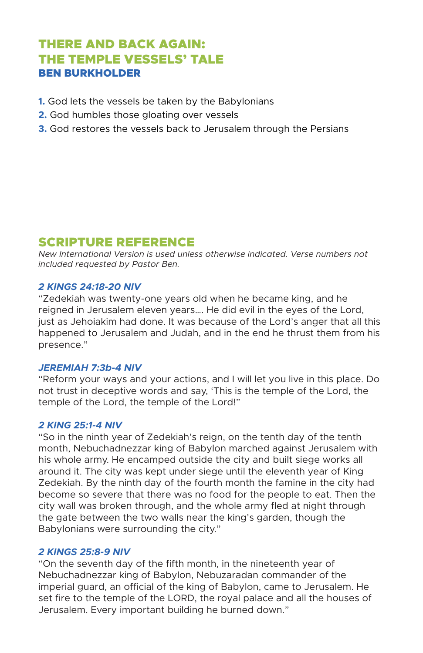# THERE AND BACK AGAIN: THE TEMPLE VESSELS' TALE BEN BURKHOLDER

- **1.** God lets the vessels be taken by the Babylonians
- **2.** God humbles those gloating over vessels
- **3.** God restores the vessels back to Jerusalem through the Persians

# SCRIPTURE REFERENCE

*New International Version is used unless otherwise indicated. Verse numbers not included requested by Pastor Ben.*

### *2 KINGS 24:18-20 NIV*

"Zedekiah was twenty-one years old when he became king, and he reigned in Jerusalem eleven years…. He did evil in the eyes of the Lord, just as Jehoiakim had done. It was because of the Lord's anger that all this happened to Jerusalem and Judah, and in the end he thrust them from his presence."

#### *JEREMIAH 7:3b-4 NIV*

"Reform your ways and your actions, and I will let you live in this place. Do not trust in deceptive words and say, 'This is the temple of the Lord, the temple of the Lord, the temple of the Lord!"

#### *2 KING 25:1-4 NIV*

"So in the ninth year of Zedekiah's reign, on the tenth day of the tenth month, Nebuchadnezzar king of Babylon marched against Jerusalem with his whole army. He encamped outside the city and built siege works all around it. The city was kept under siege until the eleventh year of King Zedekiah. By the ninth day of the fourth month the famine in the city had become so severe that there was no food for the people to eat. Then the city wall was broken through, and the whole army fled at night through the gate between the two walls near the king's garden, though the Babylonians were surrounding the city."

#### *2 KINGS 25:8-9 NIV*

"On the seventh day of the fifth month, in the nineteenth year of Nebuchadnezzar king of Babylon, Nebuzaradan commander of the imperial guard, an official of the king of Babylon, came to Jerusalem. He set fire to the temple of the LORD, the royal palace and all the houses of Jerusalem. Every important building he burned down."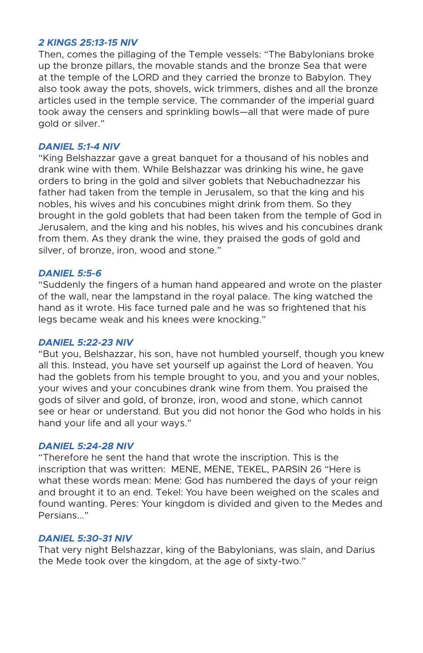#### *2 KINGS 25:13-15 NIV*

Then, comes the pillaging of the Temple vessels: "The Babylonians broke up the bronze pillars, the movable stands and the bronze Sea that were at the temple of the LORD and they carried the bronze to Babylon. They also took away the pots, shovels, wick trimmers, dishes and all the bronze articles used in the temple service. The commander of the imperial guard took away the censers and sprinkling bowls—all that were made of pure gold or silver."

#### *DANIEL 5:1-4 NIV*

"King Belshazzar gave a great banquet for a thousand of his nobles and drank wine with them. While Belshazzar was drinking his wine, he gave orders to bring in the gold and silver goblets that Nebuchadnezzar his father had taken from the temple in Jerusalem, so that the king and his nobles, his wives and his concubines might drink from them. So they brought in the gold goblets that had been taken from the temple of God in Jerusalem, and the king and his nobles, his wives and his concubines drank from them. As they drank the wine, they praised the gods of gold and silver, of bronze, iron, wood and stone."

## *DANIEL 5:5-6*

"Suddenly the fingers of a human hand appeared and wrote on the plaster of the wall, near the lampstand in the royal palace. The king watched the hand as it wrote. His face turned pale and he was so frightened that his legs became weak and his knees were knocking."

#### *DANIEL 5:22-23 NIV*

"But you, Belshazzar, his son, have not humbled yourself, though you knew all this. Instead, you have set yourself up against the Lord of heaven. You had the goblets from his temple brought to you, and you and your nobles, your wives and your concubines drank wine from them. You praised the gods of silver and gold, of bronze, iron, wood and stone, which cannot see or hear or understand. But you did not honor the God who holds in his hand your life and all your ways."

#### *DANIEL 5:24-28 NIV*

"Therefore he sent the hand that wrote the inscription. This is the inscription that was written: MENE, MENE, TEKEL, PARSIN 26 "Here is what these words mean: Mene: God has numbered the days of your reign and brought it to an end. Tekel: You have been weighed on the scales and found wanting. Peres: Your kingdom is divided and given to the Medes and Persians..."

#### *DANIEL 5:30-31 NIV*

That very night Belshazzar, king of the Babylonians, was slain, and Darius the Mede took over the kingdom, at the age of sixty-two."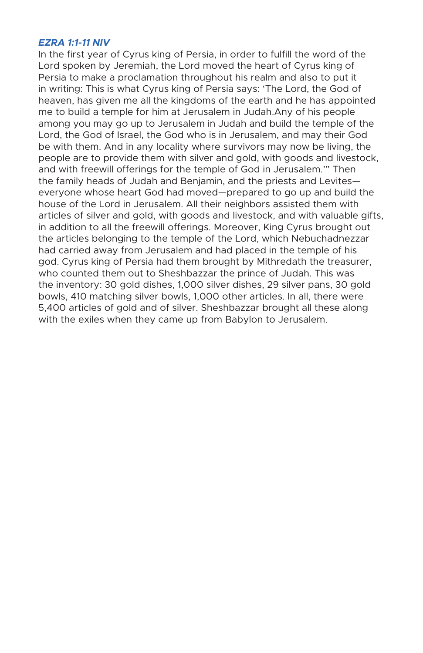#### *EZRA 1:1-11 NIV*

In the first year of Cyrus king of Persia, in order to fulfill the word of the Lord spoken by Jeremiah, the Lord moved the heart of Cyrus king of Persia to make a proclamation throughout his realm and also to put it in writing: This is what Cyrus king of Persia says: 'The Lord, the God of heaven, has given me all the kingdoms of the earth and he has appointed me to build a temple for him at Jerusalem in Judah.Any of his people among you may go up to Jerusalem in Judah and build the temple of the Lord, the God of Israel, the God who is in Jerusalem, and may their God be with them. And in any locality where survivors may now be living, the people are to provide them with silver and gold, with goods and livestock, and with freewill offerings for the temple of God in Jerusalem.'" Then the family heads of Judah and Benjamin, and the priests and Levites everyone whose heart God had moved—prepared to go up and build the house of the Lord in Jerusalem. All their neighbors assisted them with articles of silver and gold, with goods and livestock, and with valuable gifts, in addition to all the freewill offerings. Moreover, King Cyrus brought out the articles belonging to the temple of the Lord, which Nebuchadnezzar had carried away from Jerusalem and had placed in the temple of his god. Cyrus king of Persia had them brought by Mithredath the treasurer, who counted them out to Sheshbazzar the prince of Judah. This was the inventory: 30 gold dishes, 1,000 silver dishes, 29 silver pans, 30 gold bowls, 410 matching silver bowls, 1,000 other articles. In all, there were 5,400 articles of gold and of silver. Sheshbazzar brought all these along with the exiles when they came up from Babylon to Jerusalem.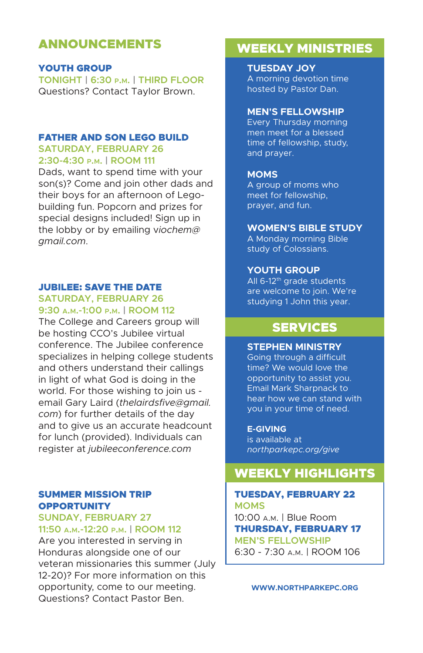# ANNOUNCEMENTS

#### YOUTH GROUP

**TONIGHT | 6:30 p.m. | THIRD FLOOR** Questions? Contact Taylor Brown.

#### FATHER AND SON LEGO BUILD

**SATURDAY, FEBRUARY 26 2:30-4:30 p.m. | ROOM 111**

Dads, want to spend time with your son(s)? Come and join other dads and their boys for an afternoon of Legobuilding fun. Popcorn and prizes for special designs included! Sign up in the lobby or by emailing v*iochem@ gmail.com*.

#### JUBILEE: SAVE THE DATE **SATURDAY, FEBRUARY 26**

# **9:30 a.m.-1:00 p.m. | ROOM 112**

The College and Careers group will be hosting CCO's Jubilee virtual conference. The Jubilee conference specializes in helping college students and others understand their callings in light of what God is doing in the world. For those wishing to join us email Gary Laird (*thelairdsfive@gmail. com*) for further details of the day and to give us an accurate headcount for lunch (provided). Individuals can register at *jubileeconference.com*

## SUMMER MISSION TRIP **OPPORTUNITY**

#### **SUNDAY, FEBRUARY 27 11:50 a.m.-12:20 p.m. | ROOM 112**

Are you interested in serving in Honduras alongside one of our veteran missionaries this summer (July 12-20)? For more information on this opportunity, come to our meeting. Questions? Contact Pastor Ben.

# WEEKLY MINISTRIES

**TUESDAY JOY** A morning devotion time hosted by Pastor Dan.

#### **MEN'S FELLOWSHIP**

Every Thursday morning men meet for a blessed time of fellowship, study, and prayer.

#### **MOMS**

A group of moms who meet for fellowship, prayer, and fun.

#### **WOMEN'S BIBLE STUDY**

A Monday morning Bible study of Colossians.

#### **YOUTH GROUP**

All 6-12<sup>th</sup> grade students are welcome to join. We're studying 1 John this year.

# SERVICES

#### **STEPHEN MINISTRY**

Going through a difficult time? We would love the opportunity to assist you. Email Mark Sharpnack to hear how we can stand with you in your time of need.

#### **E-GIVING**

is available at *northparkepc.org/give*

# WEEKLY HIGHLIGHTS

#### TUESDAY, FEBRUARY 22 **MOMS**

10:00 a.m. | Blue Room THURSDAY, FEBRUARY 17 **MEN'S FELLOWSHIP** 6:30 - 7:30 a.m. | ROOM 106

**WWW.NORTHPARKEPC.ORG**